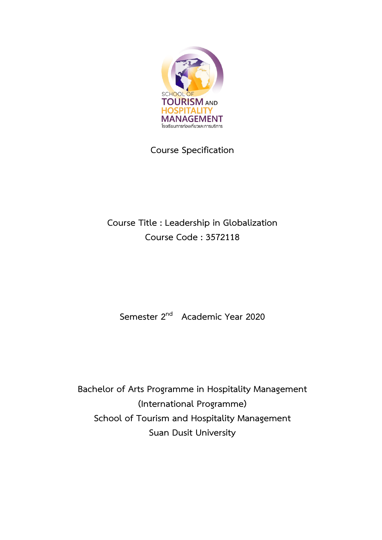

# **Course Specification**

# **Course Title : Leadership in Globalization Course Code : 3572118**

**Semester 2nd Academic Year 2020**

**Bachelor of Arts Programme in Hospitality Management (International Programme) School of Tourism and Hospitality Management Suan Dusit University**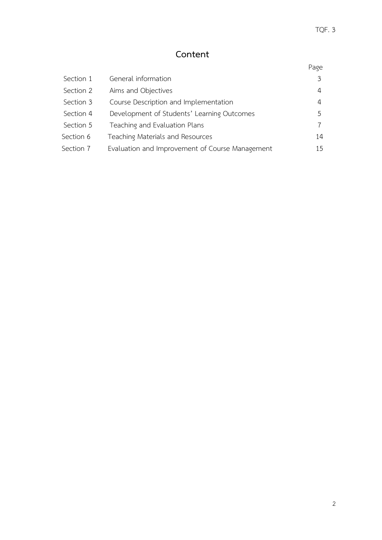# **Content**

# Page

| Section 1 | General information                             |    |
|-----------|-------------------------------------------------|----|
| Section 2 | Aims and Objectives                             | 4  |
| Section 3 | Course Description and Implementation           | 4  |
| Section 4 | Development of Students' Learning Outcomes      | 5  |
| Section 5 | Teaching and Evaluation Plans                   |    |
| Section 6 | Teaching Materials and Resources                | 14 |
| Section 7 | Evaluation and Improvement of Course Management | 15 |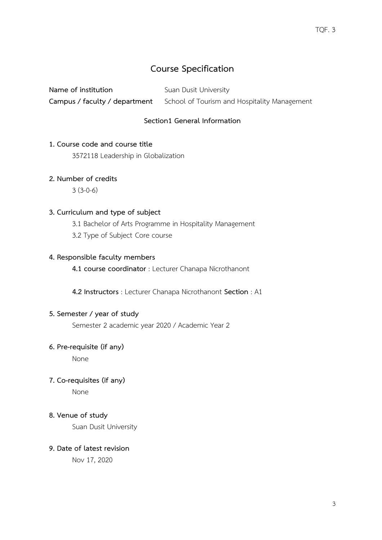# **Course Specification**

**Name of institution** Suan Dusit University **Campus / faculty / department** School of Tourism and Hospitality Management

## **Section1 General Information**

## **1. Course code and course title**

3572118 Leadership in Globalization

## **2. Number of credits**

3 (3-0-6)

#### **3. Curriculum and type of subject**

3.1 Bachelor of Arts Programme in Hospitality Management

3.2 Type of Subject Core course

#### **4. Responsible faculty members**

**4.1 course coordinator** : Lecturer Chanapa Nicrothanont

 **4.2 Instructors** : Lecturer Chanapa Nicrothanont **Section** : A1

#### **5. Semester / year of study**

Semester 2 academic year 2020 / Academic Year 2

#### **6. Pre-requisite (if any)**

None

#### **7. Co-requisites (if any)**

None

#### **8. Venue of study**

Suan Dusit University

#### **9. Date of latest revision**

Nov 17, 2020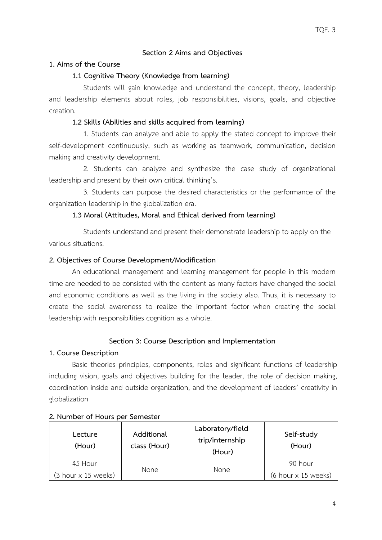## **Section 2 Aims and Objectives**

#### **1. Aims of the Course**

#### **1.1 Cognitive Theory (Knowledge from learning)**

 Students will gain knowledge and understand the concept, theory, leadership and leadership elements about roles, job responsibilities, visions, goals, and objective creation.

## **1.2 Skills (Abilities and skills acquired from learning)**

 1. Students can analyze and able to apply the stated concept to improve their self-development continuously, such as working as teamwork, communication, decision making and creativity development.

 2. Students can analyze and synthesize the case study of organizational leadership and present by their own critical thinking's.

 3. Students can purpose the desired characteristics or the performance of the organization leadership in the globalization era.

#### **1.3 Moral (Attitudes, Moral and Ethical derived from learning)**

 Students understand and present their demonstrate leadership to apply on the various situations.

#### **2. Objectives of Course Development/Modification**

An educational management and learning management for people in this modern time are needed to be consisted with the content as many factors have changed the social and economic conditions as well as the living in the society also. Thus, it is necessary to create the social awareness to realize the important factor when creating the social leadership with responsibilities cognition as a whole.

## **Section 3: Course Description and Implementation**

#### **1. Course Description**

Basic theories principles, components, roles and significant functions of leadership including vision, goals and objectives building for the leader, the role of decision making, coordination inside and outside organization, and the development of leaders' creativity in globalization

| Lecture<br>(Hour)            | Additional<br>class (Hour) | Laboratory/field<br>trip/internship<br>(Hour) | Self-study<br>(Hour)                       |
|------------------------------|----------------------------|-----------------------------------------------|--------------------------------------------|
| 45 Hour                      | None                       | <b>None</b>                                   | 90 hour                                    |
| $(3$ hour $\times$ 15 weeks) |                            |                                               | $(6 \text{ hour} \times 15 \text{ weeks})$ |

#### **2. Number of Hours per Semester**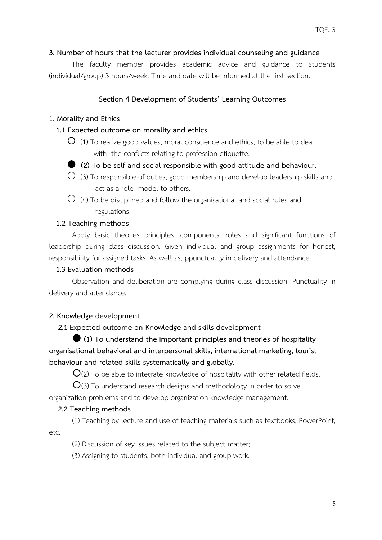## **3. Number of hours that the lecturer provides individual counseling and guidance**

The faculty member provides academic advice and guidance to students (individual/group) 3 hours/week. Time and date will be informed at the first section.

## **Section 4 Development of Students' Learning Outcomes**

## **1. Morality and Ethics**

## **1.1 Expected outcome on morality and ethics**

- $\bigcup$  (1) To realize good values, moral conscience and ethics, to be able to deal with the conflicts relating to profession etiquette.
- **(2) To be self and social responsible with good attitude and behaviour.**
- $\bigcirc$  (3) To responsible of duties, good membership and develop leadership skills and act as a role model to others.
- $\bigcirc$  (4) To be disciplined and follow the organisational and social rules and regulations.

## **1.2 Teaching methods**

Apply basic theories principles, components, roles and significant functions of leadership during class discussion. Given individual and group assignments for honest, responsibility for assigned tasks. As well as, ppunctuality in delivery and attendance.

## **1.3 Evaluation methods**

Observation and deliberation are complying during class discussion. Punctuality in delivery and attendance.

#### **2. Knowledge development**

#### **2.1 Expected outcome on Knowledge and skills development**

 **(1) To understand the important principles and theories of hospitality organisational behavioral and interpersonal skills, international marketing, tourist behaviour and related skills systematically and globally.**

 $O(2)$  To be able to integrate knowledge of hospitality with other related fields.

 $O$ (3) To understand research designs and methodology in order to solve organization problems and to develop organization knowledge management.

#### **2.2 Teaching methods**

(1) Teaching by lecture and use of teaching materials such as textbooks, PowerPoint, etc.

(2) Discussion of key issues related to the subject matter;

(3) Assigning to students, both individual and group work.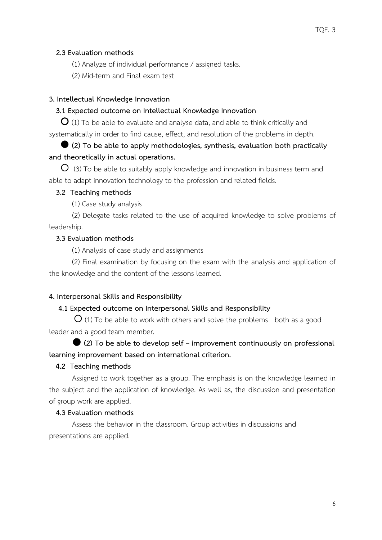#### **2.3 Evaluation methods**

- (1) Analyze of individual performance / assigned tasks.
- (2) Mid-term and Final exam test

## **3. Intellectual Knowledge Innovation**

## **3.1 Expected outcome on Intellectual Knowledge Innovation**

 $\mathbf{O}$  (1) To be able to evaluate and analyse data, and able to think critically and systematically in order to find cause, effect, and resolution of the problems in depth.

## **(2) To be able to apply methodologies, synthesis, evaluation both practically and theoretically in actual operations.**

 $\overline{O}$  (3) To be able to suitably apply knowledge and innovation in business term and able to adapt innovation technology to the profession and related fields.

#### **3.2 Teaching methods**

(1) Case study analysis

(2) Delegate tasks related to the use of acquired knowledge to solve problems of leadership.

## **3.3 Evaluation methods**

(1) Analysis of case study and assignments

(2) Final examination by focusing on the exam with the analysis and application of the knowledge and the content of the lessons learned.

#### **4. Interpersonal Skills and Responsibility**

#### **4.1 Expected outcome on Interpersonal Skills and Responsibility**

 $\overline{O}$  (1) To be able to work with others and solve the problems both as a good leader and a good team member.

 **(2) To be able to develop self – improvement continuously on professional learning improvement based on international criterion.**

#### **4.2 Teaching methods**

Assigned to work together as a group. The emphasis is on the knowledge learned in the subject and the application of knowledge. As well as, the discussion and presentation of group work are applied.

#### **4.3 Evaluation methods**

Assess the behavior in the classroom. Group activities in discussions and presentations are applied.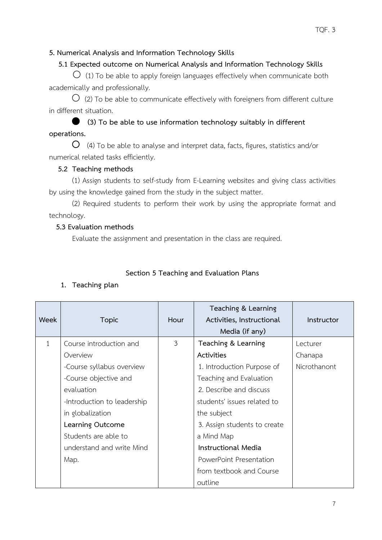## **5. Numerical Analysis and Information Technology Skills**

## **5.1 Expected outcome on Numerical Analysis and Information Technology Skills**

 $\bigcirc$  (1) To be able to apply foreign languages effectively when communicate both academically and professionally.

 $\overline{O}$  (2) To be able to communicate effectively with foreigners from different culture in different situation.

## **(3) To be able to use information technology suitably in different**

## **operations.**

 $\overline{O}$  (4) To be able to analyse and interpret data, facts, figures, statistics and/or numerical related tasks efficiently.

## **5.2 Teaching methods**

(1) Assign students to self-study from E-Learning websites and giving class activities by using the knowledge gained from the study in the subject matter.

(2) Required students to perform their work by using the appropriate format and technology.

## **5.3 Evaluation methods**

Evaluate the assignment and presentation in the class are required.

## **Section 5 Teaching and Evaluation Plans**

## **1. Teaching plan**

|              |                             |              | Teaching & Learning          |              |
|--------------|-----------------------------|--------------|------------------------------|--------------|
| Week         | <b>Topic</b>                | Hour         | Activities, Instructional    | Instructor   |
|              |                             |              | Media (if any)               |              |
| $\mathbf{1}$ | Course introduction and     | $\mathbf{3}$ | Teaching & Learning          | Lecturer     |
|              | Overview                    |              | Activities                   | Chanapa      |
|              | -Course syllabus overview   |              | 1. Introduction Purpose of   | Nicrothanont |
|              | -Course objective and       |              | Teaching and Evaluation      |              |
|              | evaluation                  |              | 2. Describe and discuss      |              |
|              | -Introduction to leadership |              | students' issues related to  |              |
|              | in globalization            |              | the subject                  |              |
|              | Learning Outcome            |              | 3. Assign students to create |              |
|              | Students are able to        |              | a Mind Map                   |              |
|              | understand and write Mind   |              | <b>Instructional Media</b>   |              |
|              | Map.                        |              | PowerPoint Presentation      |              |
|              |                             |              | from textbook and Course     |              |
|              |                             |              | outline                      |              |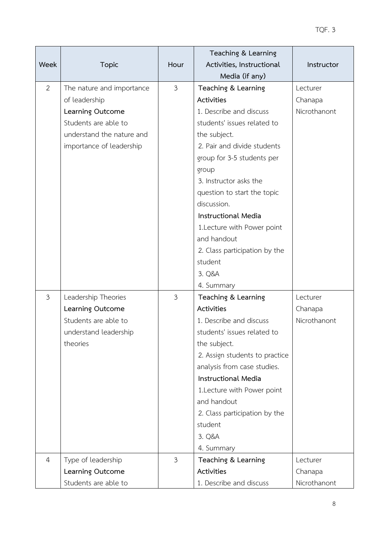|                |                           |                | Teaching & Learning            |              |
|----------------|---------------------------|----------------|--------------------------------|--------------|
| Week           | <b>Topic</b>              | Hour           | Activities, Instructional      | Instructor   |
|                |                           |                | Media (if any)                 |              |
| 2              | The nature and importance | $\mathfrak{Z}$ | Teaching & Learning            | Lecturer     |
|                | of leadership             |                | Activities                     | Chanapa      |
|                | Learning Outcome          |                | 1. Describe and discuss        | Nicrothanont |
|                | Students are able to      |                | students' issues related to    |              |
|                | understand the nature and |                | the subject.                   |              |
|                | importance of leadership  |                | 2. Pair and divide students    |              |
|                |                           |                | group for 3-5 students per     |              |
|                |                           |                | group                          |              |
|                |                           |                | 3. Instructor asks the         |              |
|                |                           |                | question to start the topic    |              |
|                |                           |                | discussion.                    |              |
|                |                           |                | <b>Instructional Media</b>     |              |
|                |                           |                | 1. Lecture with Power point    |              |
|                |                           |                | and handout                    |              |
|                |                           |                | 2. Class participation by the  |              |
|                |                           |                | student                        |              |
|                |                           |                | 3. Q&A                         |              |
|                |                           |                | 4. Summary                     |              |
| $\mathfrak{Z}$ | Leadership Theories       | 3              | Teaching & Learning            | Lecturer     |
|                | Learning Outcome          |                | Activities                     | Chanapa      |
|                | Students are able to      |                | 1. Describe and discuss        | Nicrothanont |
|                | understand leadership     |                | students' issues related to    |              |
|                | theories                  |                | the subject.                   |              |
|                |                           |                | 2. Assign students to practice |              |
|                |                           |                | analysis from case studies.    |              |
|                |                           |                | <b>Instructional Media</b>     |              |
|                |                           |                | 1. Lecture with Power point    |              |
|                |                           |                | and handout                    |              |
|                |                           |                | 2. Class participation by the  |              |
|                |                           |                | student                        |              |
|                |                           |                | 3. Q&A                         |              |
|                |                           |                | 4. Summary                     |              |
| $\overline{4}$ | Type of leadership        | $\mathfrak{Z}$ | Teaching & Learning            | Lecturer     |
|                | Learning Outcome          |                | Activities                     | Chanapa      |
|                | Students are able to      |                | 1. Describe and discuss        | Nicrothanont |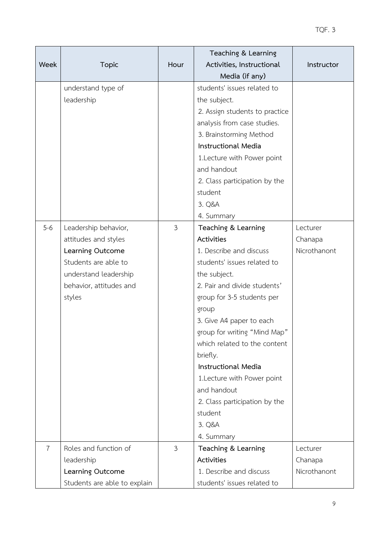|                |                              |                | Teaching & Learning            |              |
|----------------|------------------------------|----------------|--------------------------------|--------------|
| <b>Week</b>    | <b>Topic</b>                 | Hour           | Activities, Instructional      | Instructor   |
|                |                              |                | Media (if any)                 |              |
|                | understand type of           |                | students' issues related to    |              |
|                | leadership                   |                | the subject.                   |              |
|                |                              |                | 2. Assign students to practice |              |
|                |                              |                | analysis from case studies.    |              |
|                |                              |                | 3. Brainstorming Method        |              |
|                |                              |                | <b>Instructional Media</b>     |              |
|                |                              |                | 1. Lecture with Power point    |              |
|                |                              |                | and handout                    |              |
|                |                              |                | 2. Class participation by the  |              |
|                |                              |                | student                        |              |
|                |                              |                | 3. Q&A                         |              |
|                |                              |                | 4. Summary                     |              |
| $5 - 6$        | Leadership behavior,         | $\mathfrak{Z}$ | Teaching & Learning            | Lecturer     |
|                | attitudes and styles         |                | Activities                     | Chanapa      |
|                | Learning Outcome             |                | 1. Describe and discuss        | Nicrothanont |
|                | Students are able to         |                | students' issues related to    |              |
|                | understand leadership        |                | the subject.                   |              |
|                | behavior, attitudes and      |                | 2. Pair and divide students'   |              |
|                | styles                       |                | group for 3-5 students per     |              |
|                |                              |                | group                          |              |
|                |                              |                | 3. Give A4 paper to each       |              |
|                |                              |                | group for writing "Mind Map"   |              |
|                |                              |                | which related to the content   |              |
|                |                              |                | briefly.                       |              |
|                |                              |                | <b>Instructional Media</b>     |              |
|                |                              |                | 1. Lecture with Power point    |              |
|                |                              |                | and handout                    |              |
|                |                              |                | 2. Class participation by the  |              |
|                |                              |                | student                        |              |
|                |                              |                | 3. Q&A                         |              |
|                |                              |                | 4. Summary                     |              |
| $\overline{7}$ | Roles and function of        | 3              | Teaching & Learning            | Lecturer     |
|                | leadership                   |                | Activities                     | Chanapa      |
|                | Learning Outcome             |                | 1. Describe and discuss        | Nicrothanont |
|                | Students are able to explain |                | students' issues related to    |              |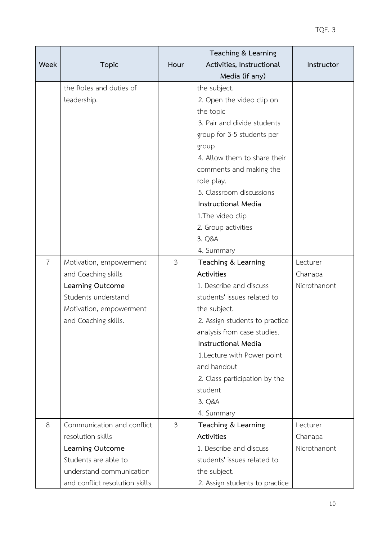|                |                                |                | Teaching & Learning            |              |
|----------------|--------------------------------|----------------|--------------------------------|--------------|
| <b>Week</b>    | <b>Topic</b>                   | Hour           | Activities, Instructional      | Instructor   |
|                |                                |                | Media (if any)                 |              |
|                | the Roles and duties of        |                | the subject.                   |              |
|                | leadership.                    |                | 2. Open the video clip on      |              |
|                |                                |                | the topic                      |              |
|                |                                |                | 3. Pair and divide students    |              |
|                |                                |                | group for 3-5 students per     |              |
|                |                                |                | group                          |              |
|                |                                |                | 4. Allow them to share their   |              |
|                |                                |                | comments and making the        |              |
|                |                                |                | role play.                     |              |
|                |                                |                | 5. Classroom discussions       |              |
|                |                                |                | <b>Instructional Media</b>     |              |
|                |                                |                | 1. The video clip              |              |
|                |                                |                | 2. Group activities            |              |
|                |                                |                | 3. Q&A                         |              |
|                |                                |                | 4. Summary                     |              |
| $\overline{7}$ | Motivation, empowerment        | $\mathfrak{Z}$ | Teaching & Learning            | Lecturer     |
|                | and Coaching skills            |                | Activities                     | Chanapa      |
|                | Learning Outcome               |                | 1. Describe and discuss        | Nicrothanont |
|                | Students understand            |                | students' issues related to    |              |
|                | Motivation, empowerment        |                | the subject.                   |              |
|                | and Coaching skills.           |                | 2. Assign students to practice |              |
|                |                                |                | analysis from case studies.    |              |
|                |                                |                | <b>Instructional Media</b>     |              |
|                |                                |                | 1. Lecture with Power point    |              |
|                |                                |                | and handout                    |              |
|                |                                |                | 2. Class participation by the  |              |
|                |                                |                | student                        |              |
|                |                                |                | 3. Q&A                         |              |
|                |                                |                | 4. Summary                     |              |
| 8              | Communication and conflict     | 3              | Teaching & Learning            | Lecturer     |
|                | resolution skills              |                | Activities                     | Chanapa      |
|                | Learning Outcome               |                | 1. Describe and discuss        | Nicrothanont |
|                | Students are able to           |                | students' issues related to    |              |
|                | understand communication       |                | the subject.                   |              |
|                | and conflict resolution skills |                | 2. Assign students to practice |              |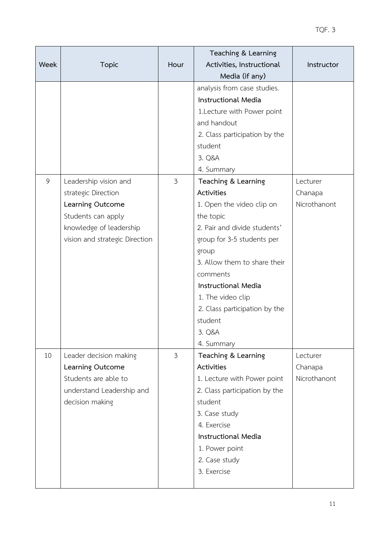| <b>Week</b> | <b>Topic</b>                                                                                                                                        | Hour           | Teaching & Learning<br>Activities, Instructional<br>Media (if any)                                                                                                                                                                                                                                                    | Instructor                          |
|-------------|-----------------------------------------------------------------------------------------------------------------------------------------------------|----------------|-----------------------------------------------------------------------------------------------------------------------------------------------------------------------------------------------------------------------------------------------------------------------------------------------------------------------|-------------------------------------|
|             |                                                                                                                                                     |                | analysis from case studies.<br><b>Instructional Media</b><br>1. Lecture with Power point<br>and handout<br>2. Class participation by the<br>student<br>3. Q&A<br>4. Summary                                                                                                                                           |                                     |
| 9           | Leadership vision and<br>strategic Direction<br>Learning Outcome<br>Students can apply<br>knowledge of leadership<br>vision and strategic Direction | $\mathfrak{Z}$ | Teaching & Learning<br>Activities<br>1. Open the video clip on<br>the topic<br>2. Pair and divide students'<br>group for 3-5 students per<br>group<br>3. Allow them to share their<br>comments<br><b>Instructional Media</b><br>1. The video clip<br>2. Class participation by the<br>student<br>3. Q&A<br>4. Summary | Lecturer<br>Chanapa<br>Nicrothanont |
| 10          | Leader decision making<br>Learning Outcome<br>Students are able to<br>understand Leadership and<br>decision making                                  | $\mathfrak{Z}$ | Teaching & Learning<br>Activities<br>1. Lecture with Power point<br>2. Class participation by the<br>student<br>3. Case study<br>4. Exercise<br><b>Instructional Media</b><br>1. Power point<br>2. Case study<br>3. Exercise                                                                                          | Lecturer<br>Chanapa<br>Nicrothanont |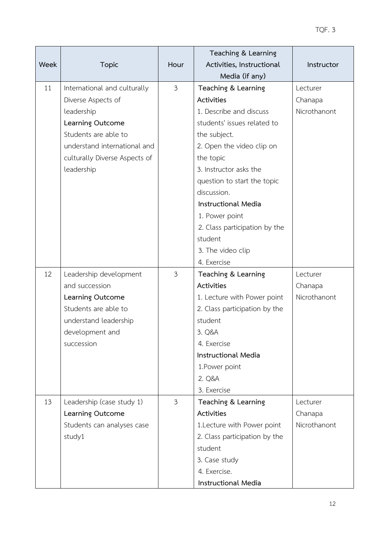|      |                               |                | Teaching & Learning           |              |
|------|-------------------------------|----------------|-------------------------------|--------------|
| Week | <b>Topic</b>                  | Hour           | Activities, Instructional     | Instructor   |
|      |                               |                | Media (if any)                |              |
| 11   | International and culturally  | $\mathfrak{Z}$ | Teaching & Learning           | Lecturer     |
|      | Diverse Aspects of            |                | Activities                    | Chanapa      |
|      | leadership                    |                | 1. Describe and discuss       | Nicrothanont |
|      | Learning Outcome              |                | students' issues related to   |              |
|      | Students are able to          |                | the subject.                  |              |
|      | understand international and  |                | 2. Open the video clip on     |              |
|      | culturally Diverse Aspects of |                | the topic                     |              |
|      | leadership                    |                | 3. Instructor asks the        |              |
|      |                               |                | question to start the topic   |              |
|      |                               |                | discussion.                   |              |
|      |                               |                | <b>Instructional Media</b>    |              |
|      |                               |                | 1. Power point                |              |
|      |                               |                | 2. Class participation by the |              |
|      |                               |                | student                       |              |
|      |                               |                | 3. The video clip             |              |
|      |                               |                | 4. Exercise                   |              |
| 12   | Leadership development        | 3              | Teaching & Learning           | Lecturer     |
|      | and succession                |                | Activities                    | Chanapa      |
|      | Learning Outcome              |                | 1. Lecture with Power point   | Nicrothanont |
|      | Students are able to          |                | 2. Class participation by the |              |
|      | understand leadership         |                | student                       |              |
|      | development and               |                | 3. Q&A                        |              |
|      | succession                    |                | 4. Exercise                   |              |
|      |                               |                | <b>Instructional Media</b>    |              |
|      |                               |                | 1. Power point                |              |
|      |                               |                | 2. Q&A                        |              |
|      |                               |                | 3. Exercise                   |              |
| 13   | Leadership (case study 1)     | 3              | Teaching & Learning           | Lecturer     |
|      | Learning Outcome              |                | <b>Activities</b>             | Chanapa      |
|      | Students can analyses case    |                | 1.Lecture with Power point    | Nicrothanont |
|      | study1                        |                | 2. Class participation by the |              |
|      |                               |                | student                       |              |
|      |                               |                | 3. Case study                 |              |
|      |                               |                | 4. Exercise.                  |              |
|      |                               |                | Instructional Media           |              |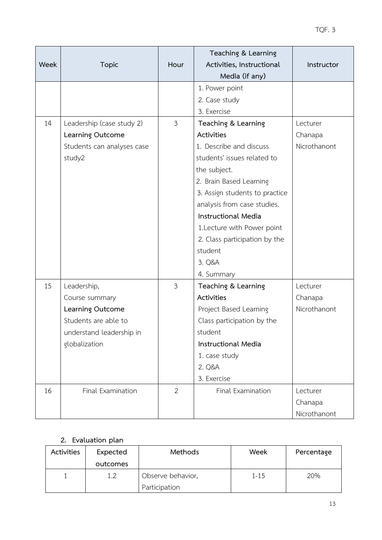| Week | <b>Topic</b>                                                                                                           | Hour           | Teaching & Learning<br>Activities, Instructional<br>Media (if any)                                                                                                                                                                                                                                                                       | Instructor                          |
|------|------------------------------------------------------------------------------------------------------------------------|----------------|------------------------------------------------------------------------------------------------------------------------------------------------------------------------------------------------------------------------------------------------------------------------------------------------------------------------------------------|-------------------------------------|
|      |                                                                                                                        |                | 1. Power point<br>2. Case study<br>3. Exercise                                                                                                                                                                                                                                                                                           |                                     |
| 14   | Leadership (case study 2)<br>Learning Outcome<br>Students can analyses case<br>study2                                  | 3              | Teaching & Learning<br>Activities<br>1. Describe and discuss<br>students' issues related to<br>the subject.<br>2. Brain Based Learning<br>3. Assign students to practice<br>analysis from case studies.<br><b>Instructional Media</b><br>1. Lecture with Power point<br>2. Class participation by the<br>student<br>3. Q&A<br>4. Summary | Lecturer<br>Chanapa<br>Nicrothanont |
| 15   | Leadership,<br>Course summary<br>Learning Outcome<br>Students are able to<br>understand leadership in<br>globalization | 3              | Teaching & Learning<br>Activities<br>Project Based Learning<br>Class participation by the<br>student<br><b>Instructional Media</b><br>1. case study<br>2. Q&A<br>3. Exercise                                                                                                                                                             | Lecturer<br>Chanapa<br>Nicrothanont |
| 16   | Final Examination                                                                                                      | $\overline{2}$ | Final Examination                                                                                                                                                                                                                                                                                                                        | Lecturer<br>Chanapa<br>Nicrothanont |

## **2. Evaluation plan**

| Activities | Expected<br>outcomes | Methods                            | Week     | Percentage |
|------------|----------------------|------------------------------------|----------|------------|
|            | 1.2                  | Observe behavior,<br>Participation | $1 - 15$ | 20%        |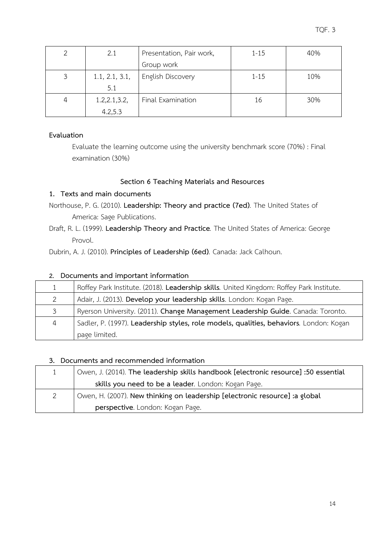|   | 2.1            | Presentation, Pair work, | $1 - 15$ | 40% |
|---|----------------|--------------------------|----------|-----|
|   |                | Group work               |          |     |
| 3 | 1.1, 2.1, 3.1, | English Discovery        | $1 - 15$ | 10% |
|   | 5.1            |                          |          |     |
| 4 | 1.2, 2.1, 3.2, | Final Examination        | 16       | 30% |
|   | 4.2,5.3        |                          |          |     |

## **Evaluation**

Evaluate the learning outcome using the university benchmark score (70%) : Final examination (30%)

## **Section 6 Teaching Materials and Resources**

## **1. Texts and main documents**

Northouse, P. G. (2010). **Leadership: Theory and practice (7ed)***.* The United States of America: Sage Publications.

Draft, R. L. (1999). **Leadership Theory and Practice***.* The United States of America: George Provol.

Dubrin, A. J. (2010). **Principles of Leadership (6ed)***.* Canada: Jack Calhoun.

## **2. Documents and important information**

|                | Roffey Park Institute. (2018). Leadership skills. United Kingdom: Roffey Park Institute. |
|----------------|------------------------------------------------------------------------------------------|
| 2              | Adair, J. (2013). Develop your leadership skills. London: Kogan Page.                    |
| 3              | Ryerson University. (2011). Change Management Leadership Guide. Canada: Toronto.         |
| $\overline{4}$ | Sadler, P. (1997). Leadership styles, role models, qualities, behaviors. London: Kogan   |
|                | page limited.                                                                            |

## **3. Documents and recommended information**

| $\mathbf{1}$ | Owen, J. (2014). The leadership skills handbook [electronic resource] :50 essential |
|--------------|-------------------------------------------------------------------------------------|
|              | skills you need to be a leader. London: Kogan Page.                                 |
| 2            | Owen, H. (2007). New thinking on leadership [electronic resource] :a global         |
|              | perspective. London: Kogan Page.                                                    |